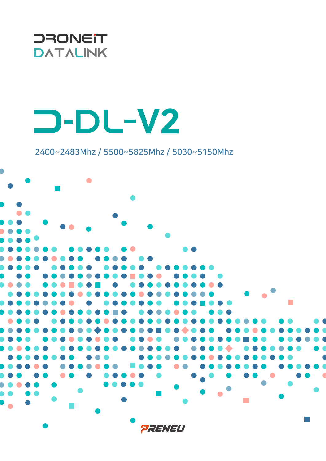

## **D-DL-V2**

2400~2483Mhz / 5500~5825Mhz / 5030~5150Mhz

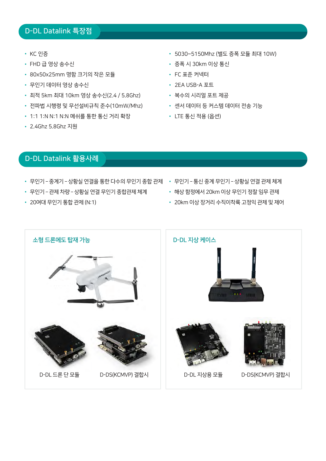## D-DL Datalink 특장점

- KC 인증
- FHD 급 영상 송수신
- 80x50x25mm 명함 크기의 작은 모듈
- 무인기 데이터 영상 송수신
- 최적 5km 최대 10km 영상 송수신(2.4 / 5.8Ghz)
- 전파법 시행령 및 무선설비규칙 준수(10mW/Mhz)
- 1:1 1:N N:1 N:N 메쉬를 통한 통신 거리 확장
- 2.4Ghz 5.8Ghz 지원
- 5030~5150Mhz (별도 증폭 모듈 최대 10W)
- 증폭 시 30km 이상 통신
- FC 표준 커넥터
- 2EA USB-A 포트
- 복수의 시리얼 포트 제공
- 센서 데이터 등 커스템 데이터 전송 기능
- LTE 통신 적용 (옵션)

## D-DL Datalink 활용사례

- 무인기 − 중계기 − 상황실 연결을 통한 다수의 무인기 종합 관제 ・ 무인기 − 통신 중계 무인기 − 상황실 연결 관제 체계
- 무인기 관제 차량 상황실 연결 무인기 종합관제 체계
- 20여대 무인기 통합 관제 (N:1)
- 
- 해상 함정에서 20km 이상 무인기 정찰 임무 관제
	- 20km 이상 장거리 수직이착륙 고정익 관제 및 제어